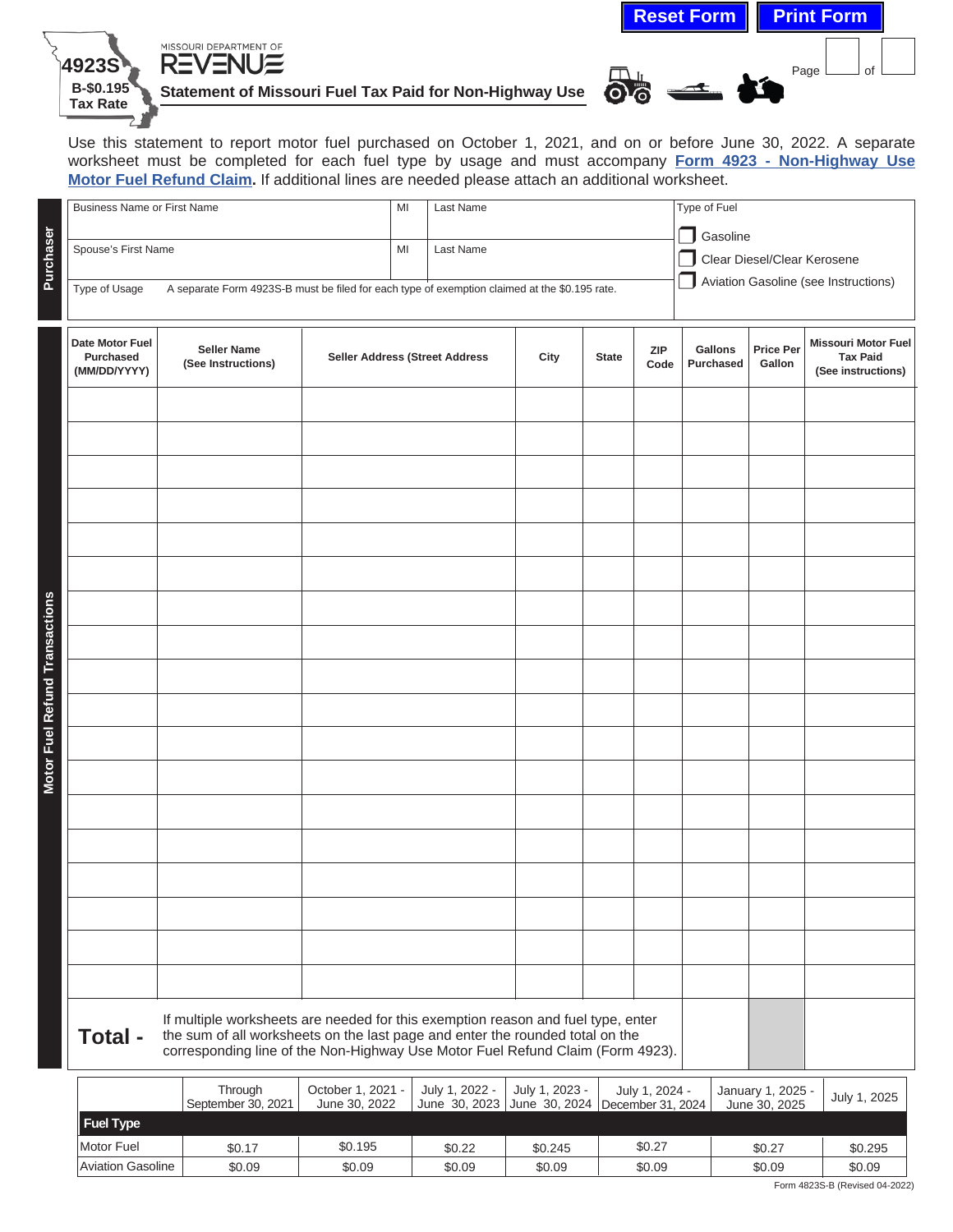|                                                         | <b>Reset Form Print Form</b> |            |
|---------------------------------------------------------|------------------------------|------------|
| MISSOURI DEPARTMENT OF<br><b>REVENUE</b>                |                              | ∩f<br>Page |
| Statement of Missouri Fuel Tax Paid for Non-Highway Use | බයි                          |            |

Use this statement to report motor fuel purchased on October 1, 2021, and on or before June 30, 2022. A separate worksheet must be completed for each fuel type by usage and must accompany **[Form 4923 - Non-Highway Use](http://dor.mo.gov/forms/) [Motor Fuel Refund Claim](http://dor.mo.gov/forms/).** If additional lines are needed please attach an additional worksheet.

**4923S B-\$0.195 Tax Rate**

|                                | <b>Business Name or First Name</b>                                                                                                                                                                                                                             |                               | MI                                 | Last Name |                                 |                                                     |              | Type of Fuel                            |                                      |                                    |                                                                     |
|--------------------------------|----------------------------------------------------------------------------------------------------------------------------------------------------------------------------------------------------------------------------------------------------------------|-------------------------------|------------------------------------|-----------|---------------------------------|-----------------------------------------------------|--------------|-----------------------------------------|--------------------------------------|------------------------------------|---------------------------------------------------------------------|
| Purchaser                      | Spouse's First Name                                                                                                                                                                                                                                            |                               | MI                                 | Last Name |                                 |                                                     |              | Gasoline<br>Clear Diesel/Clear Kerosene |                                      |                                    |                                                                     |
|                                | A separate Form 4923S-B must be filed for each type of exemption claimed at the \$0.195 rate.<br>Type of Usage                                                                                                                                                 |                               |                                    |           |                                 |                                                     |              |                                         | Aviation Gasoline (see Instructions) |                                    |                                                                     |
|                                |                                                                                                                                                                                                                                                                |                               |                                    |           |                                 |                                                     |              |                                         |                                      |                                    |                                                                     |
|                                | Date Motor Fuel<br><b>Seller Name</b><br><b>Purchased</b><br><b>Seller Address (Street Address</b><br>(See Instructions)<br>(MM/DD/YYYY)                                                                                                                       |                               |                                    |           |                                 | City                                                | <b>State</b> | <b>ZIP</b><br>Code                      | Gallons<br><b>Purchased</b>          | <b>Price Per</b><br>Gallon         | <b>Missouri Motor Fuel</b><br><b>Tax Paid</b><br>(See instructions) |
|                                |                                                                                                                                                                                                                                                                |                               |                                    |           |                                 |                                                     |              |                                         |                                      |                                    |                                                                     |
|                                |                                                                                                                                                                                                                                                                |                               |                                    |           |                                 |                                                     |              |                                         |                                      |                                    |                                                                     |
|                                |                                                                                                                                                                                                                                                                |                               |                                    |           |                                 |                                                     |              |                                         |                                      |                                    |                                                                     |
|                                |                                                                                                                                                                                                                                                                |                               |                                    |           |                                 |                                                     |              |                                         |                                      |                                    |                                                                     |
|                                |                                                                                                                                                                                                                                                                |                               |                                    |           |                                 |                                                     |              |                                         |                                      |                                    |                                                                     |
|                                |                                                                                                                                                                                                                                                                |                               |                                    |           |                                 |                                                     |              |                                         |                                      |                                    |                                                                     |
|                                |                                                                                                                                                                                                                                                                |                               |                                    |           |                                 |                                                     |              |                                         |                                      |                                    |                                                                     |
| Motor Fuel Refund Transactions |                                                                                                                                                                                                                                                                |                               |                                    |           |                                 |                                                     |              |                                         |                                      |                                    |                                                                     |
|                                |                                                                                                                                                                                                                                                                |                               |                                    |           |                                 |                                                     |              |                                         |                                      |                                    |                                                                     |
|                                |                                                                                                                                                                                                                                                                |                               |                                    |           |                                 |                                                     |              |                                         |                                      |                                    |                                                                     |
|                                |                                                                                                                                                                                                                                                                |                               |                                    |           |                                 |                                                     |              |                                         |                                      |                                    |                                                                     |
|                                |                                                                                                                                                                                                                                                                |                               |                                    |           |                                 |                                                     |              |                                         |                                      |                                    |                                                                     |
|                                |                                                                                                                                                                                                                                                                |                               |                                    |           |                                 |                                                     |              |                                         |                                      |                                    |                                                                     |
|                                |                                                                                                                                                                                                                                                                |                               |                                    |           |                                 |                                                     |              |                                         |                                      |                                    |                                                                     |
|                                |                                                                                                                                                                                                                                                                |                               |                                    |           |                                 |                                                     |              |                                         |                                      |                                    |                                                                     |
|                                |                                                                                                                                                                                                                                                                |                               |                                    |           |                                 |                                                     |              |                                         |                                      |                                    |                                                                     |
|                                |                                                                                                                                                                                                                                                                |                               |                                    |           |                                 |                                                     |              |                                         |                                      |                                    |                                                                     |
|                                |                                                                                                                                                                                                                                                                |                               |                                    |           |                                 |                                                     |              |                                         |                                      |                                    |                                                                     |
|                                | If multiple worksheets are needed for this exemption reason and fuel type, enter<br>Total -<br>the sum of all worksheets on the last page and enter the rounded total on the<br>corresponding line of the Non-Highway Use Motor Fuel Refund Claim (Form 4923). |                               |                                    |           |                                 |                                                     |              |                                         |                                      |                                    |                                                                     |
|                                |                                                                                                                                                                                                                                                                | Through<br>September 30, 2021 | October 1, 2021 -<br>June 30, 2022 |           | July 1, 2022 -<br>June 30, 2023 | July 1, 2023 -<br>June 30, 2024   December 31, 2024 |              | July 1, 2024 -                          |                                      | January 1, 2025 -<br>June 30, 2025 | July 1, 2025                                                        |

| <b>Fuel Type</b>  |        |         |        |         |        |        |         |  |  |
|-------------------|--------|---------|--------|---------|--------|--------|---------|--|--|
| Motor Fuel        | \$0.17 | \$0.195 | \$0.22 | \$0.245 | \$0.27 | \$0.27 | \$0.295 |  |  |
| Aviation Gasoline | \$0.09 | \$0.09  | \$0.09 | \$0.09  | \$0.09 | \$0.09 | \$0.09  |  |  |
| $-$               |        |         |        |         |        |        |         |  |  |